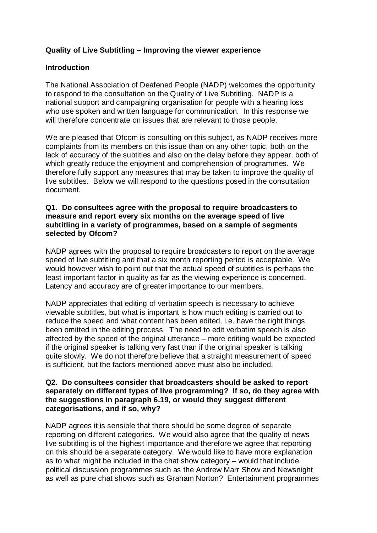# **Quality of Live Subtitling – Improving the viewer experience**

### **Introduction**

The National Association of Deafened People (NADP) welcomes the opportunity to respond to the consultation on the Quality of Live Subtitling. NADP is a national support and campaigning organisation for people with a hearing loss who use spoken and written language for communication. In this response we will therefore concentrate on issues that are relevant to those people.

We are pleased that Ofcom is consulting on this subject, as NADP receives more complaints from its members on this issue than on any other topic, both on the lack of accuracy of the subtitles and also on the delay before they appear, both of which greatly reduce the enjoyment and comprehension of programmes. We therefore fully support any measures that may be taken to improve the quality of live subtitles. Below we will respond to the questions posed in the consultation document.

#### **Q1. Do consultees agree with the proposal to require broadcasters to measure and report every six months on the average speed of live subtitling in a variety of programmes, based on a sample of segments selected by Ofcom?**

NADP agrees with the proposal to require broadcasters to report on the average speed of live subtitling and that a six month reporting period is acceptable. We would however wish to point out that the actual speed of subtitles is perhaps the least important factor in quality as far as the viewing experience is concerned. Latency and accuracy are of greater importance to our members.

NADP appreciates that editing of verbatim speech is necessary to achieve viewable subtitles, but what is important is how much editing is carried out to reduce the speed and what content has been edited, i.e. have the right things been omitted in the editing process. The need to edit verbatim speech is also affected by the speed of the original utterance – more editing would be expected if the original speaker is talking very fast than if the original speaker is talking quite slowly. We do not therefore believe that a straight measurement of speed is sufficient, but the factors mentioned above must also be included.

#### **Q2. Do consultees consider that broadcasters should be asked to report separately on different types of live programming? If so, do they agree with the suggestions in paragraph 6.19, or would they suggest different categorisations, and if so, why?**

NADP agrees it is sensible that there should be some degree of separate reporting on different categories. We would also agree that the quality of news live subtitling is of the highest importance and therefore we agree that reporting on this should be a separate category. We would like to have more explanation as to what might be included in the chat show category – would that include political discussion programmes such as the Andrew Marr Show and Newsnight as well as pure chat shows such as Graham Norton? Entertainment programmes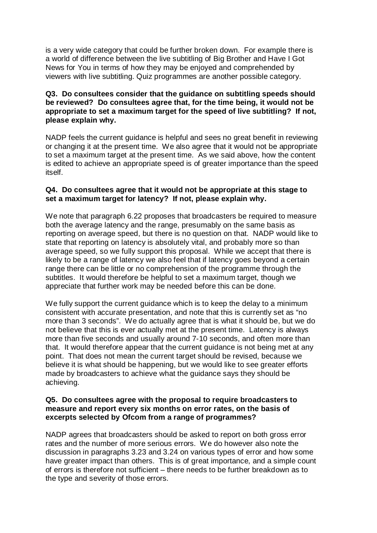is a very wide category that could be further broken down. For example there is a world of difference between the live subtitling of Big Brother and Have I Got News for You in terms of how they may be enjoyed and comprehended by viewers with live subtitling. Quiz programmes are another possible category.

## **Q3. Do consultees consider that the guidance on subtitling speeds should be reviewed? Do consultees agree that, for the time being, it would not be appropriate to set a maximum target for the speed of live subtitling? If not, please explain why.**

NADP feels the current guidance is helpful and sees no great benefit in reviewing or changing it at the present time. We also agree that it would not be appropriate to set a maximum target at the present time. As we said above, how the content is edited to achieve an appropriate speed is of greater importance than the speed itself.

### **Q4. Do consultees agree that it would not be appropriate at this stage to set a maximum target for latency? If not, please explain why.**

We note that paragraph 6.22 proposes that broadcasters be required to measure both the average latency and the range, presumably on the same basis as reporting on average speed, but there is no question on that. NADP would like to state that reporting on latency is absolutely vital, and probably more so than average speed, so we fully support this proposal. While we accept that there is likely to be a range of latency we also feel that if latency goes beyond a certain range there can be little or no comprehension of the programme through the subtitles. It would therefore be helpful to set a maximum target, though we appreciate that further work may be needed before this can be done.

We fully support the current guidance which is to keep the delay to a minimum consistent with accurate presentation, and note that this is currently set as "no more than 3 seconds". We do actually agree that is what it should be, but we do not believe that this is ever actually met at the present time. Latency is always more than five seconds and usually around 7-10 seconds, and often more than that. It would therefore appear that the current guidance is not being met at any point. That does not mean the current target should be revised, because we believe it is what should be happening, but we would like to see greater efforts made by broadcasters to achieve what the guidance says they should be achieving.

### **Q5. Do consultees agree with the proposal to require broadcasters to measure and report every six months on error rates, on the basis of excerpts selected by Ofcom from a range of programmes?**

NADP agrees that broadcasters should be asked to report on both gross error rates and the number of more serious errors. We do however also note the discussion in paragraphs 3.23 and 3.24 on various types of error and how some have greater impact than others. This is of great importance, and a simple count of errors is therefore not sufficient – there needs to be further breakdown as to the type and severity of those errors.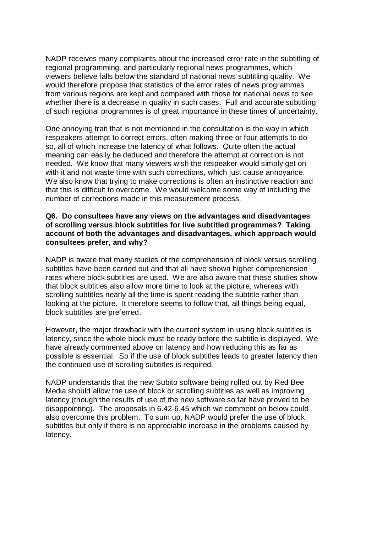NADP receives many complaints about the increased error rate in the subtitling of regional programming, and particularly regional news programmes, which viewers believe falls below the standard of national news subtitling quality. We would therefore propose that statistics of the error rates of news programmes from various regions are kept and compared with those for national news to see whether there is a decrease in quality in such cases. Full and accurate subtitling of such regional programmes is of great importance in these times of uncertainty.

One annoying trait that is not mentioned in the consultation is the way in which respeakers attempt to correct errors, often making three or four attempts to do so, all of which increase the latency of what follows. Quite often the actual meaning can easily be deduced and therefore the attempt at correction is not needed. We know that many viewers wish the respeaker would simply get on with it and not waste time with such corrections, which just cause annoyance. We also know that trying to make corrections is often an instinctive reaction and that this is difficult to overcome. We would welcome some way of including the number of corrections made in this measurement process.

#### **Q6. Do consultees have any views on the advantages and disadvantages of scrolling versus block subtitles for live subtitled programmes? Taking account of both the advantages and disadvantages, which approach would consultees prefer, and why?**

NADP is aware that many studies of the comprehension of block versus scrolling subtitles have been carried out and that all have shown higher comprehension rates where block subtitles are used. We are also aware that these studies show that block subtitles also allow more time to look at the picture, whereas with scrolling subtitles nearly all the time is spent reading the subtitle rather than looking at the picture. It therefore seems to follow that, all things being equal, block subtitles are preferred.

However, the major drawback with the current system in using block subtitles is latency, since the whole block must be ready before the subtitle is displayed. We have already commented above on latency and how reducing this as far as possible is essential. So if the use of block subtitles leads to greater latency then the continued use of scrolling subtitles is required.

NADP understands that the new Subito software being rolled out by Red Bee Media should allow the use of block or scrolling subtitles as well as improving latency (though the results of use of the new software so far have proved to be disappointing). The proposals in 6.42-6.45 which we comment on below could also overcome this problem. To sum up, NADP would prefer the use of block subtitles but only if there is no appreciable increase in the problems caused by latency.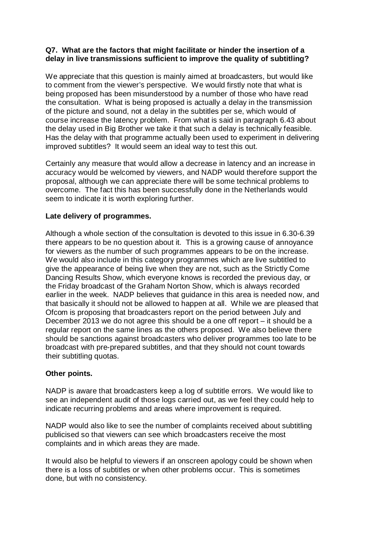## **Q7. What are the factors that might facilitate or hinder the insertion of a delay in live transmissions sufficient to improve the quality of subtitling?**

We appreciate that this question is mainly aimed at broadcasters, but would like to comment from the viewer's perspective. We would firstly note that what is being proposed has been misunderstood by a number of those who have read the consultation. What is being proposed is actually a delay in the transmission of the picture and sound, not a delay in the subtitles per se, which would of course increase the latency problem. From what is said in paragraph 6.43 about the delay used in Big Brother we take it that such a delay is technically feasible. Has the delay with that programme actually been used to experiment in delivering improved subtitles? It would seem an ideal way to test this out.

Certainly any measure that would allow a decrease in latency and an increase in accuracy would be welcomed by viewers, and NADP would therefore support the proposal, although we can appreciate there will be some technical problems to overcome. The fact this has been successfully done in the Netherlands would seem to indicate it is worth exploring further.

## **Late delivery of programmes.**

Although a whole section of the consultation is devoted to this issue in 6.30-6.39 there appears to be no question about it. This is a growing cause of annoyance for viewers as the number of such programmes appears to be on the increase. We would also include in this category programmes which are live subtitled to give the appearance of being live when they are not, such as the Strictly Come Dancing Results Show, which everyone knows is recorded the previous day, or the Friday broadcast of the Graham Norton Show, which is always recorded earlier in the week. NADP believes that guidance in this area is needed now, and that basically it should not be allowed to happen at all. While we are pleased that Ofcom is proposing that broadcasters report on the period between July and December 2013 we do not agree this should be a one off report – it should be a regular report on the same lines as the others proposed. We also believe there should be sanctions against broadcasters who deliver programmes too late to be broadcast with pre-prepared subtitles, and that they should not count towards their subtitling quotas.

## **Other points.**

NADP is aware that broadcasters keep a log of subtitle errors. We would like to see an independent audit of those logs carried out, as we feel they could help to indicate recurring problems and areas where improvement is required.

NADP would also like to see the number of complaints received about subtitling publicised so that viewers can see which broadcasters receive the most complaints and in which areas they are made.

It would also be helpful to viewers if an onscreen apology could be shown when there is a loss of subtitles or when other problems occur. This is sometimes done, but with no consistency.